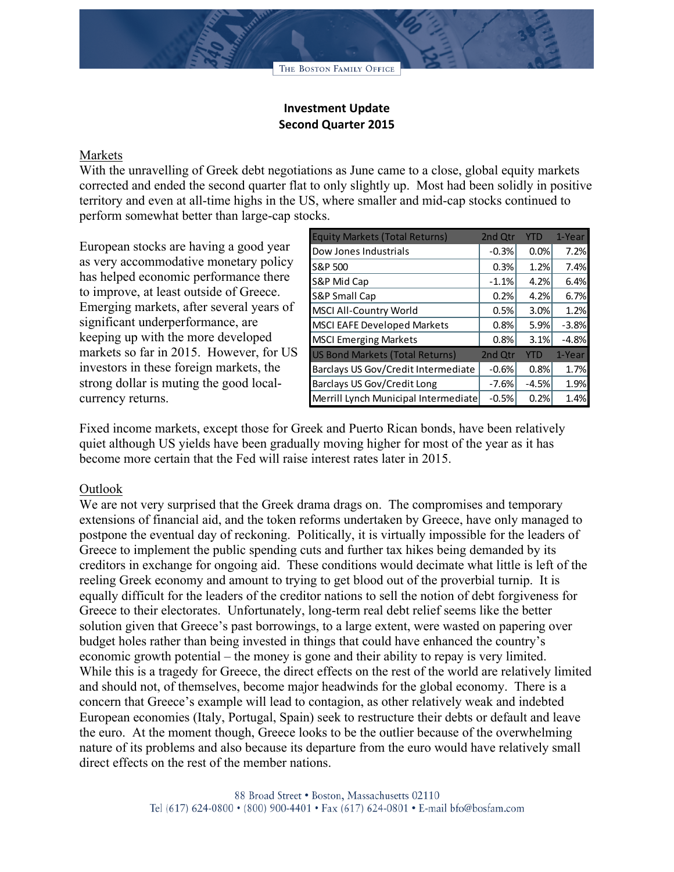## **Investment Update Second Quarter 2015**

## Markets

With the unravelling of Greek debt negotiations as June came to a close, global equity markets corrected and ended the second quarter flat to only slightly up. Most had been solidly in positive territory and even at all-time highs in the US, where smaller and mid-cap stocks continued to perform somewhat better than large-cap stocks.

European stocks are having a good year as very accommodative monetary policy has helped economic performance there to improve, at least outside of Greece. Emerging markets, after several years of significant underperformance, are keeping up with the more developed markets so far in 2015. However, for US investors in these foreign markets, the strong dollar is muting the good localcurrency returns.

| <b>Equity Markets (Total Returns)</b>  | 2nd Qtr | <b>YTD</b> | 1-Year  |
|----------------------------------------|---------|------------|---------|
| Dow Jones Industrials                  | $-0.3%$ | 0.0%       | 7.2%    |
| S&P 500                                | 0.3%    | 1.2%       | 7.4%    |
| S&P Mid Cap                            | $-1.1%$ | 4.2%       | 6.4%    |
| S&P Small Cap                          | 0.2%    | 4.2%       | 6.7%    |
| MSCI All-Country World                 | 0.5%    | 3.0%       | 1.2%    |
| <b>MSCI EAFE Developed Markets</b>     | 0.8%    | 5.9%       | $-3.8%$ |
| <b>MSCI Emerging Markets</b>           | 0.8%    | 3.1%       | $-4.8%$ |
| <b>US Bond Markets (Total Returns)</b> | 2nd Qtr | YTD        | 1-Year  |
| Barclays US Gov/Credit Intermediate    | $-0.6%$ | 0.8%       | 1.7%    |
| Barclays US Gov/Credit Long            | $-7.6%$ | $-4.5%$    | 1.9%    |
| Merrill Lynch Municipal Intermediate   | $-0.5%$ | 0.2%       | 1.4%    |

Fixed income markets, except those for Greek and Puerto Rican bonds, have been relatively quiet although US yields have been gradually moving higher for most of the year as it has become more certain that the Fed will raise interest rates later in 2015.

## Outlook

We are not very surprised that the Greek drama drags on. The compromises and temporary extensions of financial aid, and the token reforms undertaken by Greece, have only managed to postpone the eventual day of reckoning. Politically, it is virtually impossible for the leaders of Greece to implement the public spending cuts and further tax hikes being demanded by its creditors in exchange for ongoing aid. These conditions would decimate what little is left of the reeling Greek economy and amount to trying to get blood out of the proverbial turnip. It is equally difficult for the leaders of the creditor nations to sell the notion of debt forgiveness for Greece to their electorates. Unfortunately, long-term real debt relief seems like the better solution given that Greece's past borrowings, to a large extent, were wasted on papering over budget holes rather than being invested in things that could have enhanced the country's economic growth potential – the money is gone and their ability to repay is very limited. While this is a tragedy for Greece, the direct effects on the rest of the world are relatively limited and should not, of themselves, become major headwinds for the global economy. There is a concern that Greece's example will lead to contagion, as other relatively weak and indebted European economies (Italy, Portugal, Spain) seek to restructure their debts or default and leave the euro. At the moment though, Greece looks to be the outlier because of the overwhelming nature of its problems and also because its departure from the euro would have relatively small direct effects on the rest of the member nations.